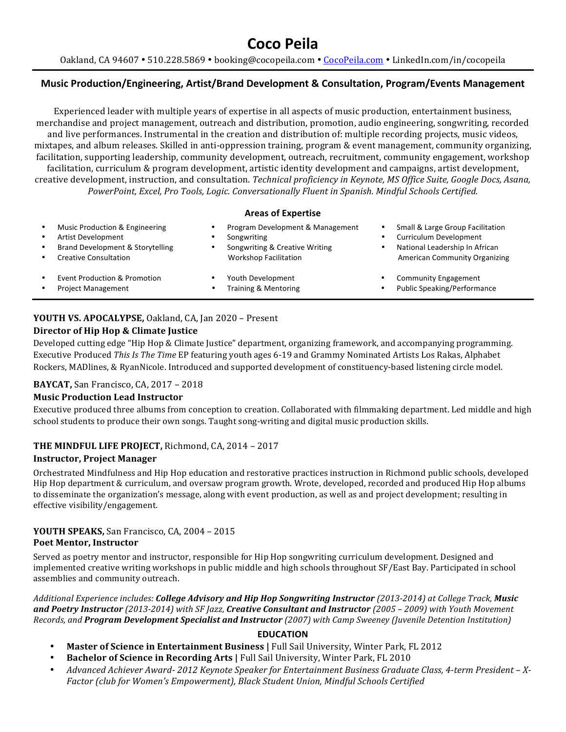# **Coco\$Peila**

Oakland, CA 94607 • 510.228.5869 • booking@cocopeila.com • CocoPeila.com • LinkedIn.com/in/cocopeila

# **Music Production/Engineering, Artist/Brand Development & Consultation, Program/Events Management**

Experienced leader with multiple years of expertise in all aspects of music production, entertainment business, merchandise and project management, outreach and distribution, promotion, audio engineering, songwriting, recorded and live performances. Instrumental in the creation and distribution of: multiple recording projects, music videos, mixtapes, and album releases. Skilled in anti-oppression training, program & event management, community organizing, facilitation, supporting leadership, community development, outreach, recruitment, community engagement, workshop facilitation, curriculum & program development, artistic identity development and campaigns, artist development, creative development, instruction, and consultation. Technical proficiency in Keynote, MS Office Suite, Google Docs, Asana, *PowerPoint,!Excel,!Pro!Tools,!Logic.!Conversationally Fluent!in!Spanish. Mindful!Schools!Certified.*

#### **Areas of Expertise**

| Music Production & Engineering   | Program Development & Management | Small & Large Group Facilitation     |
|----------------------------------|----------------------------------|--------------------------------------|
| Artist Development               | Songwriting                      | Curriculum Development               |
| Brand Development & Storytelling | Songwriting & Creative Writing   | National Leadership In African       |
| <b>Creative Consultation</b>     | <b>Workshop Facilitation</b>     | <b>American Community Organizing</b> |
| Event Production & Promotion     | Youth Development                | <b>Community Engagement</b>          |
| <b>Project Management</b>        | Training & Mentoring             | Public Speaking/Performance          |

# **YOUTH VS. APOCALYPSE, Oakland, CA, Jan 2020 - Present**

# **Director of Hip Hop & Climate Justice**

Developed cutting edge "Hip Hop & Climate Justice" department, organizing framework, and accompanying programming. Executive Produced This Is The Time EP featuring youth ages 6-19 and Grammy Nominated Artists Los Rakas, Alphabet Rockers, MADlines, & RyanNicole. Introduced and supported development of constituency-based listening circle model.

#### **BAYCAT, San Francisco, CA, 2017 - 2018**

#### **Music Production Lead Instructor**

Executive produced three albums from conception to creation. Collaborated with filmmaking department. Led middle and high school students to produce their own songs. Taught song-writing and digital music production skills.

# THE MINDFUL LIFE PROJECT, Richmond, CA, 2014 - 2017

#### **Instructor, Project Manager**

Orchestrated Mindfulness and Hip Hop education and restorative practices instruction in Richmond public schools, developed Hip Hop department & curriculum, and oversaw program growth. Wrote, developed, recorded and produced Hip Hop albums to disseminate the organization's message, along with event production, as well as and project development; resulting in effective visibility/engagement.

# **YOUTH SPEAKS, San Francisco, CA, 2004 - 2015**

#### Poet Mentor, Instructor

Served as poetry mentor and instructor, responsible for Hip Hop songwriting curriculum development. Designed and implemented creative writing workshops in public middle and high schools throughout SF/East Bay. Participated in school assemblies and community outreach.

*Additional Experience includes: College Advisory and Hip Hop Songwriting Instructor (2013-2014) at College Track, Music and Poetry Instructor (2013-2014) with SF Jazz, Creative Consultant and Instructor (2005 – 2009) with Youth Movement Records, and Program Development Specialist and Instructor* (2007) with Camp Sweeney (Juvenile Detention Institution)

# **EDUCATION**

- **Master of Science in Entertainment Business | Full Sail University, Winter Park, FL 2012**
- **Bachelor of Science in Recording Arts | Full Sail University, Winter Park, FL 2010**
- *Advanced Achiever Award-2012 Keynote Speaker for Entertainment Business Graduate Class, 4-term President X-*Factor (club for Women's Empowerment), Black Student Union, Mindful Schools Certified